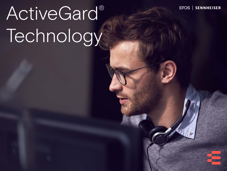# ActiveGard® Technology

EPOS |

**SENNHEISER**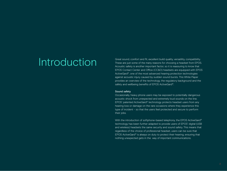**Introduction** Great sound, comfort and fit, excellent build quality, versatility, compatibility.<br>These are just some of the many reasons for choosing a headset from EPOS These are just some of the many reasons for choosing a headset from EPOS. Acoustic safety is another important factor, so it is reassuring to know that EPOS Contact Center and Office (CC&O) headsets are equipped with EPOS ActiveGard®, one of the most advanced hearing protection technologies against acoustic injury caused by sudden sound bursts. This White Paper provides an overview of the technology, the regulatory background and the safety and wellbeing benefits of EPOS ActiveGard®.

#### Sound safety

Occasionally, heavy phone users may be exposed to potentially dangerous acoustic shock from unexpected and extremely loud sounds on the line. EPOS' patented ActiveGard® technology protects headset users from any hearing loss or damage on the rare occasions where they experience this type of incident – so that the users feel protected and secure to perform their jobs.

With the introduction of softphone-based telephony, the EPOS ActiveGard® technology has been further adapted to provide users of EPOS' digital (USB and wireless) headsets the same security and sound safety. This means that regardless of the choice of professional headset, users can be sure that EPOS ActiveGard® is always on duty to protect their hearing, ensuring that nothing unexpected gets in the way of important communications.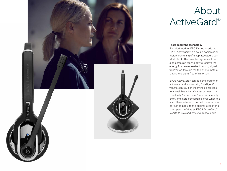

## About ActiveGard®

#### Facts about the technology

First designed for EPOS' wired headsets, EPOS ActiveGard® is a sound compression system consisting of a sophisticated electrical circuit. The patented system utilizes a compression technology to remove the energy from an excessive incoming signal transmitted through the telephone system, leaving the signal free of distortion.

EPOS ActiveGard® can be compared to an automatic and fast-working "intelligent" volume control. If an incoming signal rises to a level that is harmful to your hearing, it is instantly "turned down" to a considerably lower, and more comfortable level. When the sound level returns to normal, the volume will be "turned back" to the original level after a short period of time as EPOS ActiveGard® reverts to its stand-by surveillance mode.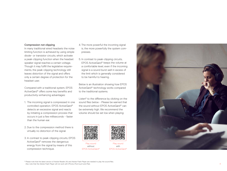#### Compression not clipping

In many traditional wired headsets the noise limiting function is achieved by using simple diode- or transistor circuits, which activate a peak-clipping function when the headset speaker signal reaches a certain voltage. Though it may fulfill the legislative require ments, the peak-clipping technology still leaves distortion of the signal and offers only a certain degree of protection for the headset user.

Compared with a traditional system, EPOS ActiveGard ® offers some key benefits and productivity-enhancing advantages:

- 1. The incoming signal is compressed in one controlled operation. EPOS ActiveGard ® detects an excessive signal and reacts by initiating a compression process that occurs in just a few milliseconds – faster than the human ear.
- 2. Due to the compression method there is virtually no distortion of the signal.
- 3. In contrast to peak-clipping circuits, EPOS ActiveGard ® removes the dangerous energy from the signal by means of this compression technique.
- 4. The more powerful the incoming signal is, the more powerfully the system com presses.
- 5. In contrast to peak-clipping circuits, EPOS ActiveGard ® keeps the volume at a comfortable level, even if the incoming signal is a sound burst well in excess of the limit which is generally considered to be harmful to hearing.

Below is an illustration showing how EPOS ActiveGard ® technology works compared to the traditional systems.

Listen\* to the difference by clicking on the sound files below – Please be warned that the sound without EPOS ActiveGard ® can be extremely high. We recommend the volume should be set low when playing:



Play sound without EPOS ActiveGard ®



Play sound with EPOS ActiveGard ®



\* Please note that the latest version of Adobe Reader (XI) and Adobe Flash Player are needed to play the sound files. Also note that the Adobe Flash Player will not work with iPhone, iPod touch and iPad.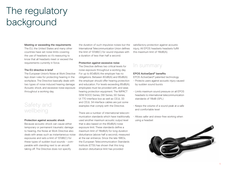# The regulatory background

#### Meeting or exceeding the requirements

The EU, the United States and many other countries have set noise limits covering the use of headsets so it's reassuring to know that all headsets meet or exceed the requirements currently in force.

#### The EU directive in brief

The European Union's Noise at Work Directive lays down rules for protecting hearing in the workplace. The Directive basically deals with two types of noise induced hearing damage: Acoustic shock, and excessive noise exposure throughout a working day.

### Safety and wellbeing

#### Protection against acoustic shock

Because acoustic shock can cause either temporary or permanent traumatic damage to hearing, the Noise at Work Directive also deals with areas such as instantaneous noise exposures and sets a limit of 137dB(C) for these types of sudden loud sounds – comparable with standing next to an aircraft taking off. The Directive does not specify

the duration of such impulsive noises but the International Telecommunication Union defines the limit of 137dB(C) for sound impulses with a duration of less than half a second.

#### Protection against excessive noise

The Directive defines two critical levels for noise exposure throughout a working day. For up to 80dB(A) the employer has no obligations. Between 80dB(A) and 85dB(A) the employer should offer hearing protection and education. For levels exceeding 85dB(A), employees must be provided with, and wear, hearing protection equipment. The IMPACT SDW 5000 Series, DW Series, SD Series UI 770 interface box as well as CEUL 33 and CEUL 34 interface cables are just some examples that comply with the Directive.

There are a number of international telecommunication standards which have traditionally used another maximum acoustic output level that is also based on the 85dB(A) noise exposure limit. These standards define a maximum limit of 118dB(A) for long duration disturbance (above half a second), measured at the ear entrance. Since the late 1980s, the European Telecommunication Standards Institute (ETSI) has shown that this long duration disturbance limit has provided

satisfactory protection against acoustic injury. All EPOS headsets headsets fulfill this maximum limit of 118dB(A).

### In summary

#### EPOS ActiveGard® benefits

EPOS ActiveGard® patented technology

- Protects users against acoustic injury caused by sudden sound bursts
- Limits maximum sound pressure on all EPOS headsets to international telecommunication standards of 118dB (SPL)
- Keeps the volume of a sound peak at a safe and comfortable level
- Allows safer and stress-free working when using a headset